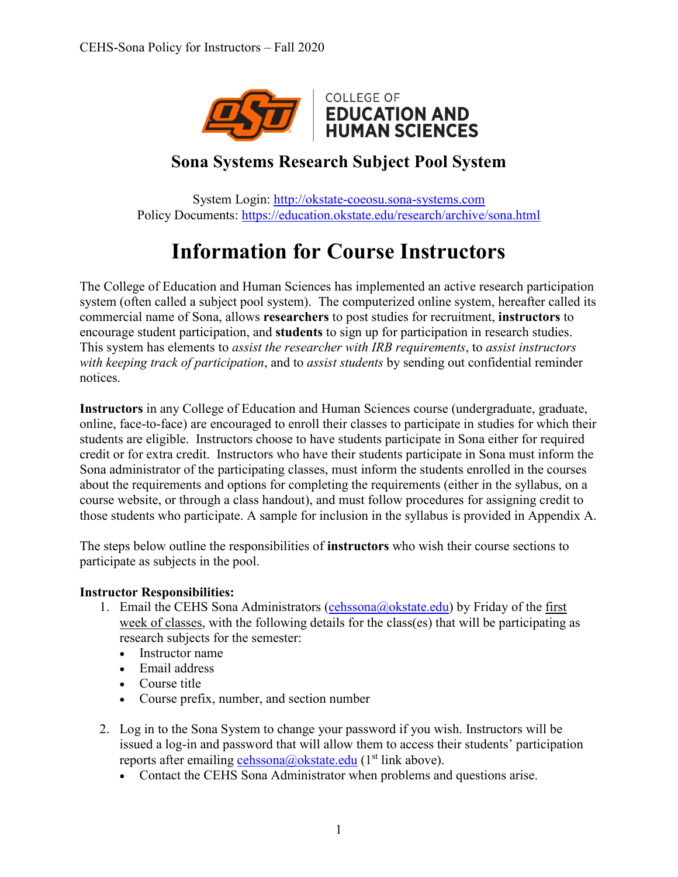

### **Sona Systems Research Subject Pool System**

System Login: [http://okstate-coeosu.sona-systems.com](http://okstate-coeosu.sona-systems.com/) Policy Documents:<https://education.okstate.edu/research/archive/sona.html>

# **Information for Course Instructors**

The College of Education and Human Sciences has implemented an active research participation system (often called a subject pool system). The computerized online system, hereafter called its commercial name of Sona, allows **researchers** to post studies for recruitment, **instructors** to encourage student participation, and **students** to sign up for participation in research studies. This system has elements to *assist the researcher with IRB requirements*, to *assist instructors with keeping track of participation*, and to *assist students* by sending out confidential reminder notices.

**Instructors** in any College of Education and Human Sciences course (undergraduate, graduate, online, face-to-face) are encouraged to enroll their classes to participate in studies for which their students are eligible. Instructors choose to have students participate in Sona either for required credit or for extra credit. Instructors who have their students participate in Sona must inform the Sona administrator of the participating classes, must inform the students enrolled in the courses about the requirements and options for completing the requirements (either in the syllabus, on a course website, or through a class handout), and must follow procedures for assigning credit to those students who participate. A sample for inclusion in the syllabus is provided in Appendix A.

The steps below outline the responsibilities of **instructors** who wish their course sections to participate as subjects in the pool.

### **Instructor Responsibilities:**

- 1. Email the CEHS Sona Administrators [\(cehssona@okstate.edu\)](mailto:cehssona@okstate.edu) by Friday of the first week of classes, with the following details for the class(es) that will be participating as research subjects for the semester:
	- Instructor name
	- Email address
	- Course title
	- Course prefix, number, and section number
- 2. Log in to the Sona System to change your password if you wish. Instructors will be issued a log-in and password that will allow them to access their students' participation reports after emailing [cehssona@okstate.edu](mailto:cehssona@okstate.edu) ( $1<sup>st</sup>$  link above).
	- Contact the CEHS Sona Administrator when problems and questions arise.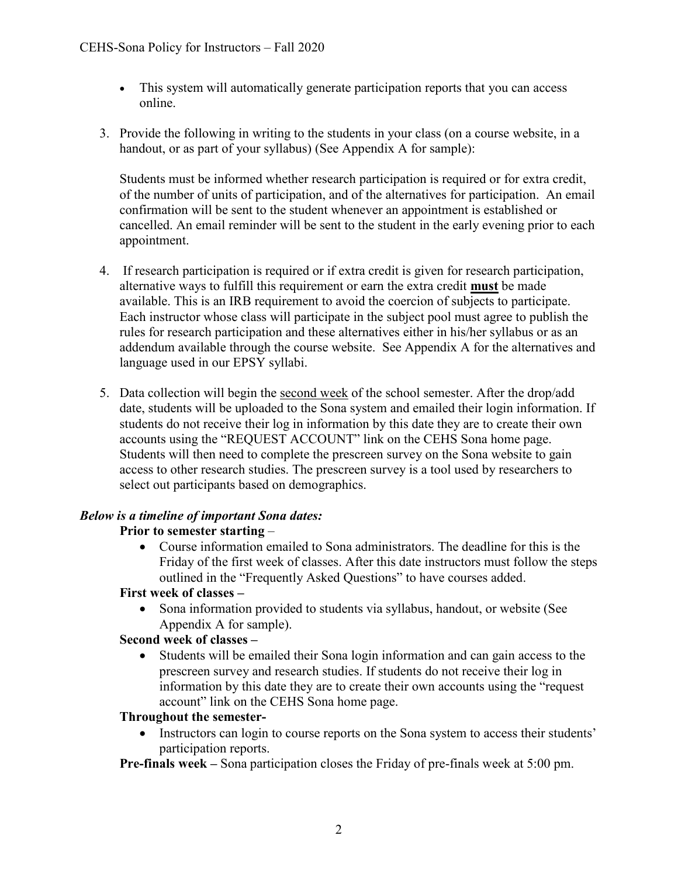- This system will automatically generate participation reports that you can access online.
- 3. Provide the following in writing to the students in your class (on a course website, in a handout, or as part of your syllabus) (See Appendix A for sample):

Students must be informed whether research participation is required or for extra credit, of the number of units of participation, and of the alternatives for participation. An email confirmation will be sent to the student whenever an appointment is established or cancelled. An email reminder will be sent to the student in the early evening prior to each appointment.

- 4. If research participation is required or if extra credit is given for research participation, alternative ways to fulfill this requirement or earn the extra credit **must** be made available. This is an IRB requirement to avoid the coercion of subjects to participate. Each instructor whose class will participate in the subject pool must agree to publish the rules for research participation and these alternatives either in his/her syllabus or as an addendum available through the course website.See Appendix A for the alternatives and language used in our EPSY syllabi.
- 5. Data collection will begin the second week of the school semester. After the drop/add date, students will be uploaded to the Sona system and emailed their login information. If students do not receive their log in information by this date they are to create their own accounts using the "REQUEST ACCOUNT" link on the CEHS Sona home page. Students will then need to complete the prescreen survey on the Sona website to gain access to other research studies. The prescreen survey is a tool used by researchers to select out participants based on demographics.

### *Below is a timeline of important Sona dates:*

### **Prior to semester starting** –

• Course information emailed to Sona administrators. The deadline for this is the Friday of the first week of classes. After this date instructors must follow the steps outlined in the "Frequently Asked Questions" to have courses added.

#### **First week of classes –**

• Sona information provided to students via syllabus, handout, or website (See Appendix A for sample).

### **Second week of classes –**

• Students will be emailed their Sona login information and can gain access to the prescreen survey and research studies. If students do not receive their log in information by this date they are to create their own accounts using the "request account" link on the CEHS Sona home page.

### **Throughout the semester-**

• Instructors can login to course reports on the Sona system to access their students' participation reports.

**Pre-finals week –** Sona participation closes the Friday of pre-finals week at 5:00 pm.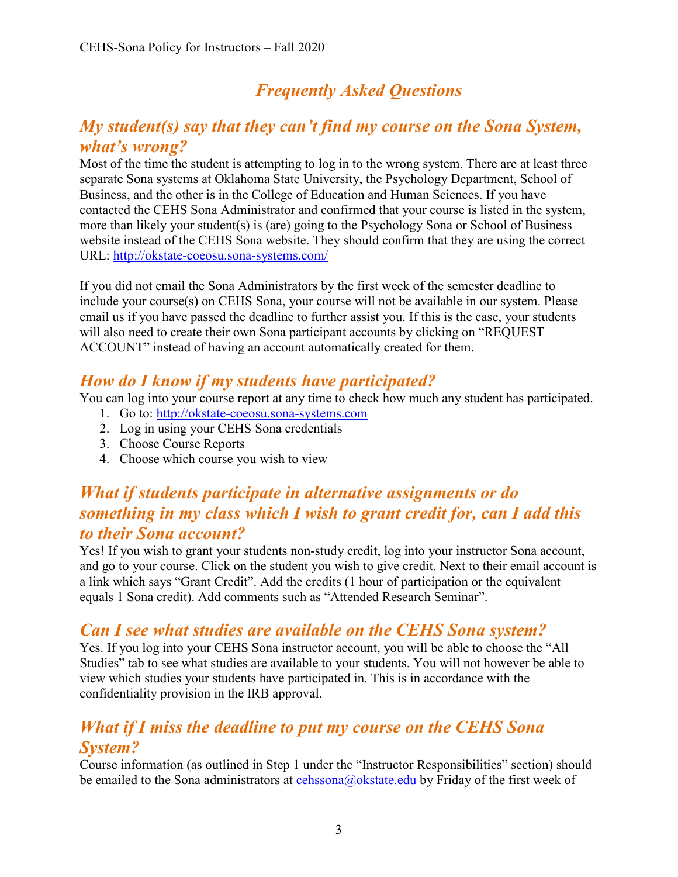## *Frequently Asked Questions*

### *My student(s) say that they can't find my course on the Sona System, what's wrong?*

Most of the time the student is attempting to log in to the wrong system. There are at least three separate Sona systems at Oklahoma State University, the Psychology Department, School of Business, and the other is in the College of Education and Human Sciences. If you have contacted the CEHS Sona Administrator and confirmed that your course is listed in the system, more than likely your student(s) is (are) going to the Psychology Sona or School of Business website instead of the CEHS Sona website. They should confirm that they are using the correct URL:<http://okstate-coeosu.sona-systems.com/>

If you did not email the Sona Administrators by the first week of the semester deadline to include your course(s) on CEHS Sona, your course will not be available in our system. Please email us if you have passed the deadline to further assist you. If this is the case, your students will also need to create their own Sona participant accounts by clicking on "REQUEST ACCOUNT" instead of having an account automatically created for them.

### *How do I know if my students have participated?*

You can log into your course report at any time to check how much any student has participated.

- 1. Go to: [http://okstate-coeosu.sona-systems.com](http://okstate-coeosu.sona-systems.com/)
- 2. Log in using your CEHS Sona credentials
- 3. Choose Course Reports
- 4. Choose which course you wish to view

### *What if students participate in alternative assignments or do something in my class which I wish to grant credit for, can I add this to their Sona account?*

Yes! If you wish to grant your students non-study credit, log into your instructor Sona account, and go to your course. Click on the student you wish to give credit. Next to their email account is a link which says "Grant Credit". Add the credits (1 hour of participation or the equivalent equals 1 Sona credit). Add comments such as "Attended Research Seminar".

### *Can I see what studies are available on the CEHS Sona system?*

Yes. If you log into your CEHS Sona instructor account, you will be able to choose the "All Studies" tab to see what studies are available to your students. You will not however be able to view which studies your students have participated in. This is in accordance with the confidentiality provision in the IRB approval.

### *What if I miss the deadline to put my course on the CEHS Sona System?*

Course information (as outlined in Step 1 under the "Instructor Responsibilities" section) should be emailed to the Sona administrators at [cehssona@okstate.edu](mailto:cehssona@okstate.edu) by Friday of the first week of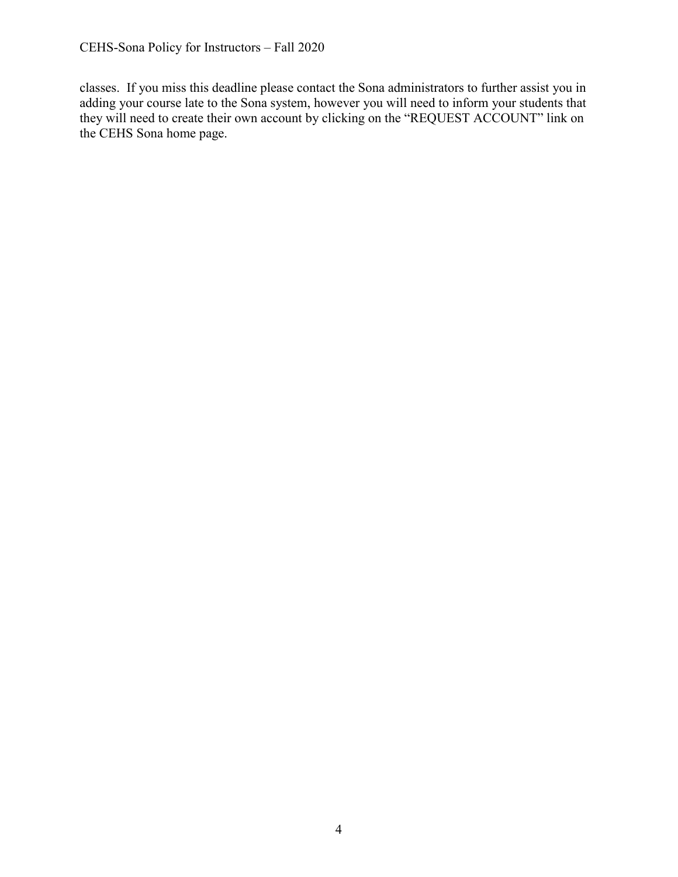classes. If you miss this deadline please contact the Sona administrators to further assist you in adding your course late to the Sona system, however you will need to inform your students that they will need to create their own account by clicking on the "REQUEST ACCOUNT" link on the CEHS Sona home page.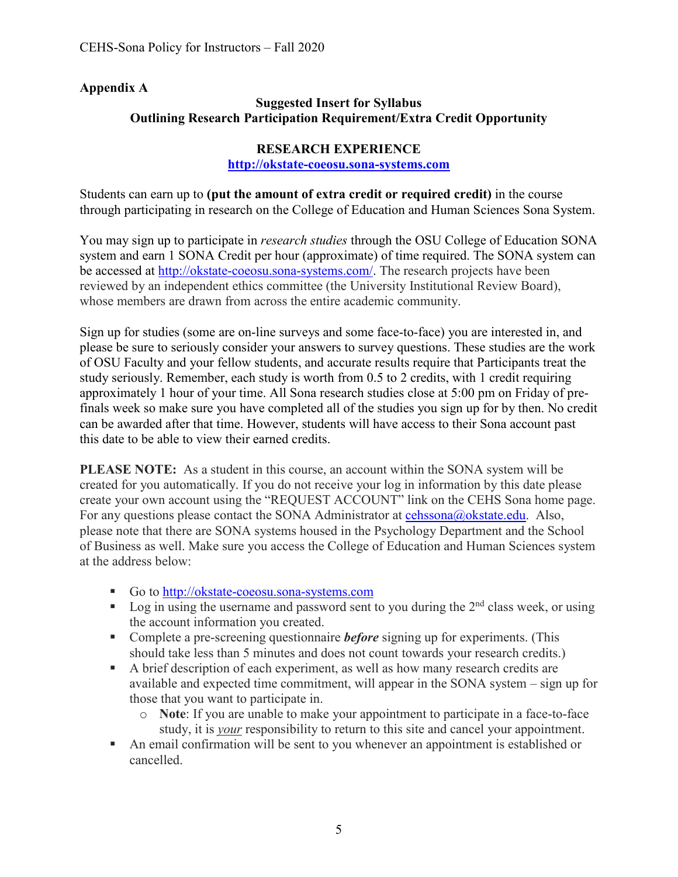### **Appendix A**

### **Suggested Insert for Syllabus Outlining Research Participation Requirement/Extra Credit Opportunity**

#### **RESEARCH EXPERIENCE**

#### **[http://okstate-coeosu.sona-systems.com](http://okstate-coeosu.sona-systems.com/)**

Students can earn up to **(put the amount of extra credit or required credit)** in the course through participating in research on the College of Education and Human Sciences Sona System.

You may sign up to participate in *research studies* through the OSU College of Education SONA system and earn 1 SONA Credit per hour (approximate) of time required. The SONA system can be accessed at [http://okstate-coeosu.sona-systems.com/.](http://okstate-coeosu.sona-systems.com/) The research projects have been reviewed by an independent ethics committee (the University Institutional Review Board), whose members are drawn from across the entire academic community.

Sign up for studies (some are on-line surveys and some face-to-face) you are interested in, and please be sure to seriously consider your answers to survey questions. These studies are the work of OSU Faculty and your fellow students, and accurate results require that Participants treat the study seriously. Remember, each study is worth from 0.5 to 2 credits, with 1 credit requiring approximately 1 hour of your time. All Sona research studies close at 5:00 pm on Friday of prefinals week so make sure you have completed all of the studies you sign up for by then. No credit can be awarded after that time. However, students will have access to their Sona account past this date to be able to view their earned credits.

**PLEASE NOTE:** As a student in this course, an account within the SONA system will be created for you automatically. If you do not receive your log in information by this date please create your own account using the "REQUEST ACCOUNT" link on the CEHS Sona home page. For any questions please contact the SONA Administrator at [cehssona@okstate.edu.](mailto:cehssona@okstate.edu) Also, please note that there are SONA systems housed in the Psychology Department and the School of Business as well. Make sure you access the College of Education and Human Sciences system at the address below:

- Go to [http://okstate-coeosu.sona-systems.com](http://okstate-coeosu.sona-systems.com/)
- Log in using the username and password sent to you during the  $2<sup>nd</sup>$  class week, or using the account information you created.
- **Complete a pre-screening questionnaire** *before* signing up for experiments. (This should take less than 5 minutes and does not count towards your research credits.)
- A brief description of each experiment, as well as how many research credits are available and expected time commitment, will appear in the SONA system – sign up for those that you want to participate in.
	- o **Note**: If you are unable to make your appointment to participate in a face-to-face study, it is *your* responsibility to return to this site and cancel your appointment.
- An email confirmation will be sent to you whenever an appointment is established or cancelled.